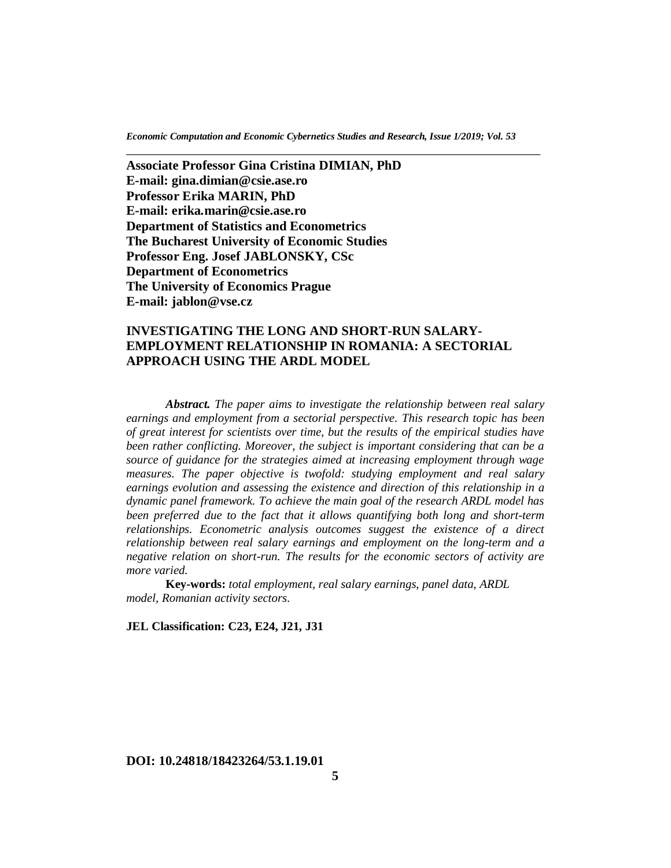\_\_\_\_\_\_\_\_\_\_\_\_\_\_\_\_\_\_\_\_\_\_\_\_\_\_\_\_\_\_\_\_\_\_\_\_\_\_\_\_\_\_\_\_\_\_\_\_\_\_\_\_\_\_\_\_\_\_\_\_\_\_\_

**Associate Professor Gina Cristina DIMIAN, PhD E-mail: gina.dimian@csie.ase.ro Professor Erika MARIN, PhD E-mail: erika***.***marin***@***csie.ase.ro Department of Statistics and Econometrics The Bucharest University of Economic Studies Professor Eng. Josef JABLONSKY, CSc Department of Econometrics The University of Economics Prague E-mail: jablon@vse.cz**

# **INVESTIGATING THE LONG AND SHORT-RUN SALARY-EMPLOYMENT RELATIONSHIP IN ROMANIA: A SECTORIAL APPROACH USING THE ARDL MODEL**

*Abstract. The paper aims to investigate the relationship between real salary earnings and employment from a sectorial perspective. This research topic has been of great interest for scientists over time, but the results of the empirical studies have been rather conflicting. Moreover, the subject is important considering that can be a source of guidance for the strategies aimed at increasing employment through wage measures. The paper objective is twofold: studying employment and real salary earnings evolution and assessing the existence and direction of this relationship in a dynamic panel framework. To achieve the main goal of the research ARDL model has been preferred due to the fact that it allows quantifying both long and short-term relationships. Econometric analysis outcomes suggest the existence of a direct relationship between real salary earnings and employment on the long-term and a negative relation on short-run. The results for the economic sectors of activity are more varied.*

**Key-words:** *total employment, real salary earnings, panel data, ARDL model, Romanian activity sectors*.

**JEL Classification: C23, E24, J21, J31**

# **DOI: 10.24818/18423264/53.1.19.01**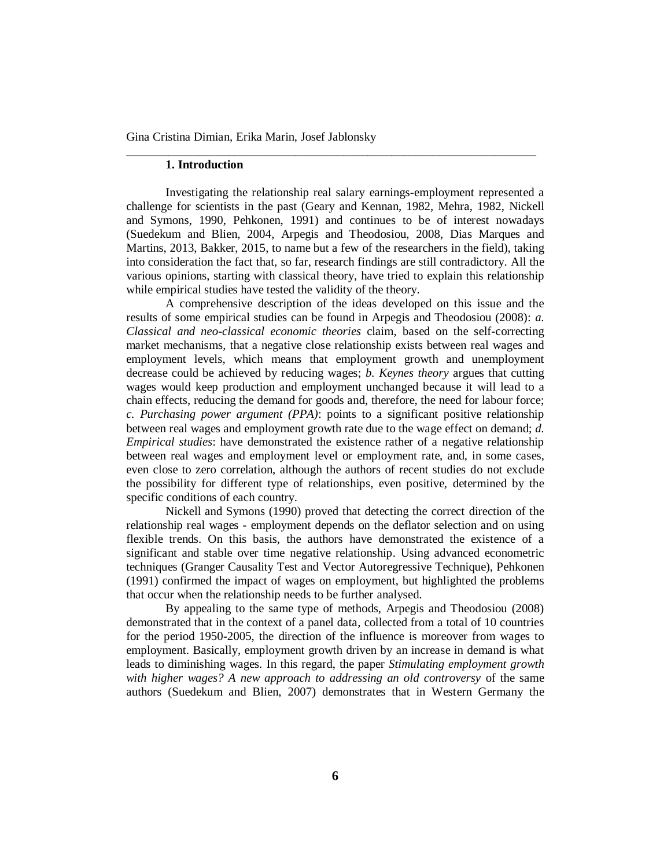### **1. Introduction**

Investigating the relationship real salary earnings-employment represented a challenge for scientists in the past (Geary and Kennan, 1982, Mehra, 1982, Nickell and Symons, 1990, Pehkonen, 1991) and continues to be of interest nowadays (Suedekum and Blien, 2004, Arpegis and Theodosiou, 2008, Dias Marques and Martins, 2013, Bakker, 2015, to name but a few of the researchers in the field), taking into consideration the fact that, so far, research findings are still contradictory. All the various opinions, starting with classical theory, have tried to explain this relationship while empirical studies have tested the validity of the theory.

\_\_\_\_\_\_\_\_\_\_\_\_\_\_\_\_\_\_\_\_\_\_\_\_\_\_\_\_\_\_\_\_\_\_\_\_\_\_\_\_\_\_\_\_\_\_\_\_\_\_\_\_\_\_\_\_\_\_\_\_\_\_\_\_\_\_\_\_

A comprehensive description of the ideas developed on this issue and the results of some empirical studies can be found in Arpegis and Theodosiou (2008): *a. Classical and neo-classical economic theories* claim, based on the self-correcting market mechanisms, that a negative close relationship exists between real wages and employment levels, which means that employment growth and unemployment decrease could be achieved by reducing wages; *b. Keynes theory* argues that cutting wages would keep production and employment unchanged because it will lead to a chain effects, reducing the demand for goods and, therefore, the need for labour force; *c. Purchasing power argument (PPA)*: points to a significant positive relationship between real wages and employment growth rate due to the wage effect on demand; *d. Empirical studies*: have demonstrated the existence rather of a negative relationship between real wages and employment level or employment rate, and, in some cases, even close to zero correlation, although the authors of recent studies do not exclude the possibility for different type of relationships, even positive, determined by the specific conditions of each country.

Nickell and Symons (1990) proved that detecting the correct direction of the relationship real wages - employment depends on the deflator selection and on using flexible trends. On this basis, the authors have demonstrated the existence of a significant and stable over time negative relationship. Using advanced econometric techniques (Granger Causality Test and Vector Autoregressive Technique), Pehkonen (1991) confirmed the impact of wages on employment, but highlighted the problems that occur when the relationship needs to be further analysed.

By appealing to the same type of methods, Arpegis and Theodosiou (2008) demonstrated that in the context of a panel data, collected from a total of 10 countries for the period 1950-2005, the direction of the influence is moreover from wages to employment. Basically, employment growth driven by an increase in demand is what leads to diminishing wages. In this regard, the paper *Stimulating employment growth with higher wages? A new approach to addressing an old controversy* of the same authors (Suedekum and Blien, 2007) demonstrates that in Western Germany the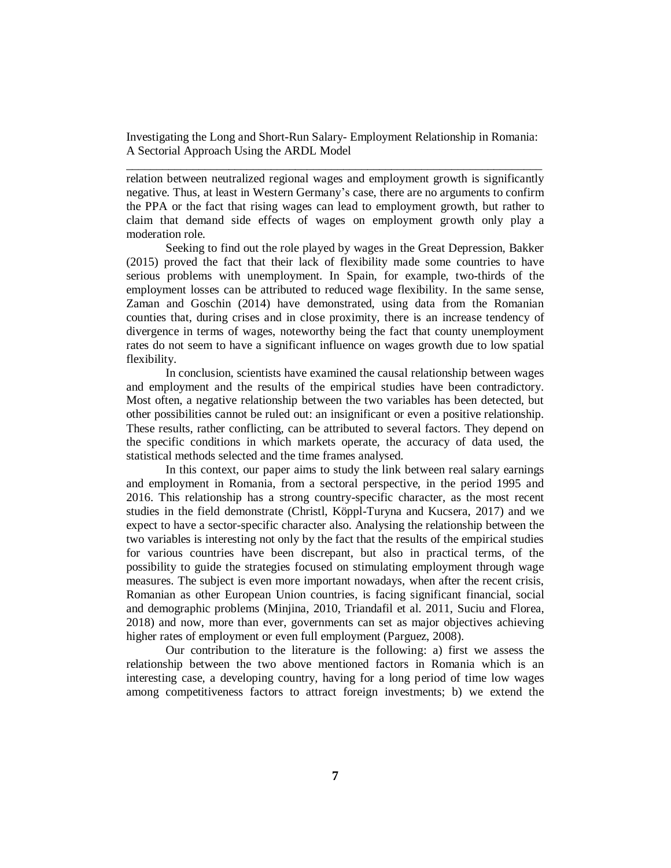relation between neutralized regional wages and employment growth is significantly negative. Thus, at least in Western Germany's case, there are no arguments to confirm the PPA or the fact that rising wages can lead to employment growth, but rather to claim that demand side effects of wages on employment growth only play a moderation role.

Seeking to find out the role played by wages in the Great Depression, Bakker (2015) proved the fact that their lack of flexibility made some countries to have serious problems with unemployment. In Spain, for example, two-thirds of the employment losses can be attributed to reduced wage flexibility. In the same sense, Zaman and Goschin (2014) have demonstrated, using data from the Romanian counties that, during crises and in close proximity, there is an increase tendency of divergence in terms of wages, noteworthy being the fact that county unemployment rates do not seem to have a significant influence on wages growth due to low spatial flexibility.

In conclusion, scientists have examined the causal relationship between wages and employment and the results of the empirical studies have been contradictory. Most often, a negative relationship between the two variables has been detected, but other possibilities cannot be ruled out: an insignificant or even a positive relationship. These results, rather conflicting, can be attributed to several factors. They depend on the specific conditions in which markets operate, the accuracy of data used, the statistical methods selected and the time frames analysed.

In this context, our paper aims to study the link between real salary earnings and employment in Romania, from a sectoral perspective, in the period 1995 and 2016. This relationship has a strong country-specific character, as the most recent studies in the field demonstrate (Christl, Köppl-Turyna and Kucsera, 2017) and we expect to have a sector-specific character also. Analysing the relationship between the two variables is interesting not only by the fact that the results of the empirical studies for various countries have been discrepant, but also in practical terms, of the possibility to guide the strategies focused on stimulating employment through wage measures. The subject is even more important nowadays, when after the recent crisis, Romanian as other European Union countries, is facing significant financial, social and demographic problems (Minjina, 2010, Triandafil et al. 2011, Suciu and Florea, 2018) and now, more than ever, governments can set as major objectives achieving higher rates of employment or even full employment (Parguez, 2008).

Our contribution to the literature is the following: a) first we assess the relationship between the two above mentioned factors in Romania which is an interesting case, a developing country, having for a long period of time low wages among competitiveness factors to attract foreign investments; b) we extend the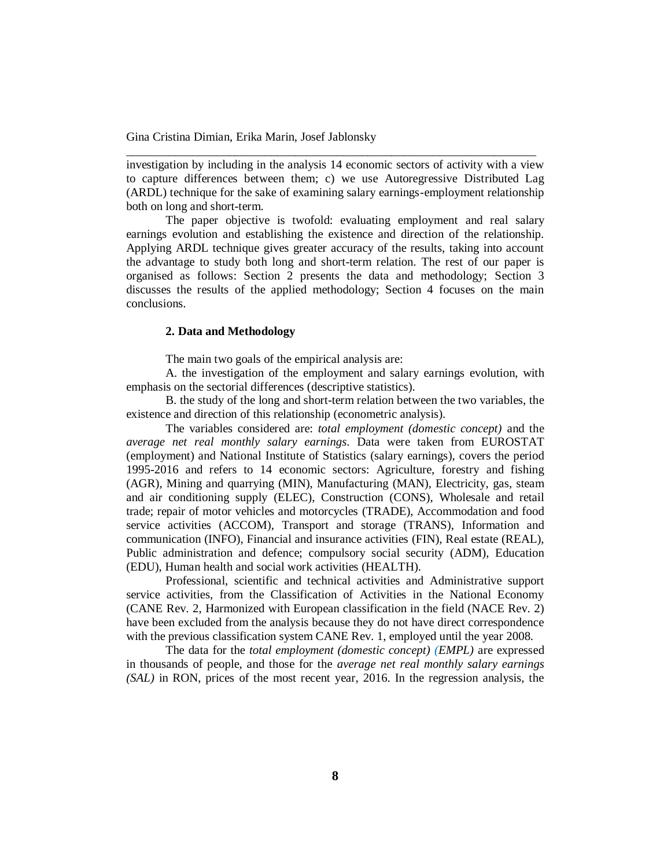investigation by including in the analysis 14 economic sectors of activity with a view to capture differences between them; c) we use Autoregressive Distributed Lag (ARDL) technique for the sake of examining salary earnings-employment relationship both on long and short-term.

\_\_\_\_\_\_\_\_\_\_\_\_\_\_\_\_\_\_\_\_\_\_\_\_\_\_\_\_\_\_\_\_\_\_\_\_\_\_\_\_\_\_\_\_\_\_\_\_\_\_\_\_\_\_\_\_\_\_\_\_\_\_\_\_\_\_\_\_

The paper objective is twofold: evaluating employment and real salary earnings evolution and establishing the existence and direction of the relationship. Applying ARDL technique gives greater accuracy of the results, taking into account the advantage to study both long and short-term relation. The rest of our paper is organised as follows: Section 2 presents the data and methodology; Section 3 discusses the results of the applied methodology; Section 4 focuses on the main conclusions.

### **2. Data and Methodology**

The main two goals of the empirical analysis are:

A. the investigation of the employment and salary earnings evolution, with emphasis on the sectorial differences (descriptive statistics).

B. the study of the long and short-term relation between the two variables, the existence and direction of this relationship (econometric analysis).

The variables considered are: *total employment (domestic concept)* and the *average net real monthly salary earnings*. Data were taken from EUROSTAT (employment) and National Institute of Statistics (salary earnings), covers the period 1995-2016 and refers to 14 economic sectors: Agriculture, forestry and fishing (AGR), Mining and quarrying (MIN), Manufacturing (MAN), Electricity, gas, steam and air conditioning supply (ELEC), Construction (CONS), Wholesale and retail trade; repair of motor vehicles and motorcycles (TRADE), Accommodation and food service activities (ACCOM), Transport and storage (TRANS), Information and communication (INFO), Financial and insurance activities (FIN), Real estate (REAL), Public administration and defence; compulsory social security (ADM), Education (EDU), Human health and social work activities (HEALTH).

Professional, scientific and technical activities and Administrative support service activities, from the Classification of Activities in the National Economy (CANE Rev. 2, Harmonized with European classification in the field (NACE Rev. 2) have been excluded from the analysis because they do not have direct correspondence with the previous classification system CANE Rev. 1, employed until the year 2008.

The data for the *total employment (domestic concept) (EMPL)* are expressed in thousands of people, and those for the *average net real monthly salary earnings (SAL)* in RON, prices of the most recent year, 2016. In the regression analysis, the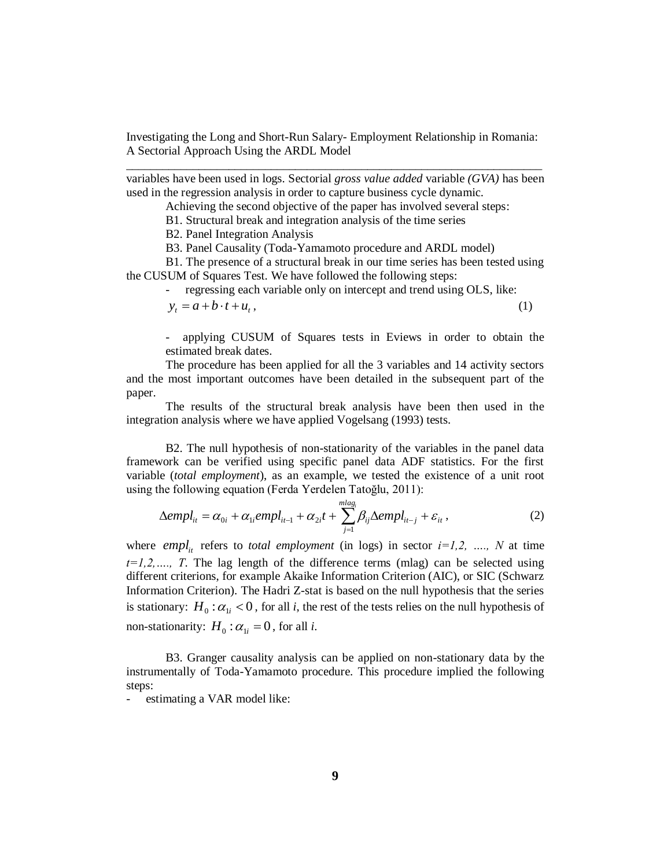variables have been used in logs. Sectorial *gross value added* variable *(GVA)* has been used in the regression analysis in order to capture business cycle dynamic.

Achieving the second objective of the paper has involved several steps:

B1. Structural break and integration analysis of the time series

B2. Panel Integration Analysis

B3. Panel Causality (Toda-Yamamoto procedure and ARDL model)

B1. The presence of a structural break in our time series has been tested using the CUSUM of Squares Test. We have followed the following steps:

regressing each variable only on intercept and trend using OLS, like:

$$
y_t = a + b \cdot t + u_t, \tag{1}
$$

- applying CUSUM of Squares tests in Eviews in order to obtain the estimated break dates.

The procedure has been applied for all the 3 variables and 14 activity sectors and the most important outcomes have been detailed in the subsequent part of the paper.

The results of the structural break analysis have been then used in the integration analysis where we have applied Vogelsang (1993) tests.

B2. The null hypothesis of non-stationarity of the variables in the panel data framework can be verified using specific panel data ADF statistics. For the first variable (*total employment*), as an example, we tested the existence of a unit root using the following equation (Ferda Yerdelen Tatoğlu, 2011):

$$
\Delta empl_{it} = \alpha_{0i} + \alpha_{1i}empl_{it-1} + \alpha_{2i}t + \sum_{j=1}^{mlag_i} \beta_{ij} \Delta empl_{it-j} + \varepsilon_{it},
$$
\n(2)

where *empl<sub>it</sub>* refers to *total employment* (in logs) in sector  $i=1,2, \ldots, N$  at time  $t=1,2,..., T$ . The lag length of the difference terms (mlag) can be selected using different criterions, for example Akaike Information Criterion (AIC), or SIC (Schwarz Information Criterion). The Hadri Z-stat is based on the null hypothesis that the series is stationary:  $H_0: \alpha_{1i} < 0$ , for all *i*, the rest of the tests relies on the null hypothesis of non-stationarity:  $H_0: \alpha_{1i} = 0$ , for all *i*.

B3. Granger causality analysis can be applied on non-stationary data by the instrumentally of Toda-Yamamoto procedure. This procedure implied the following steps:

estimating a VAR model like: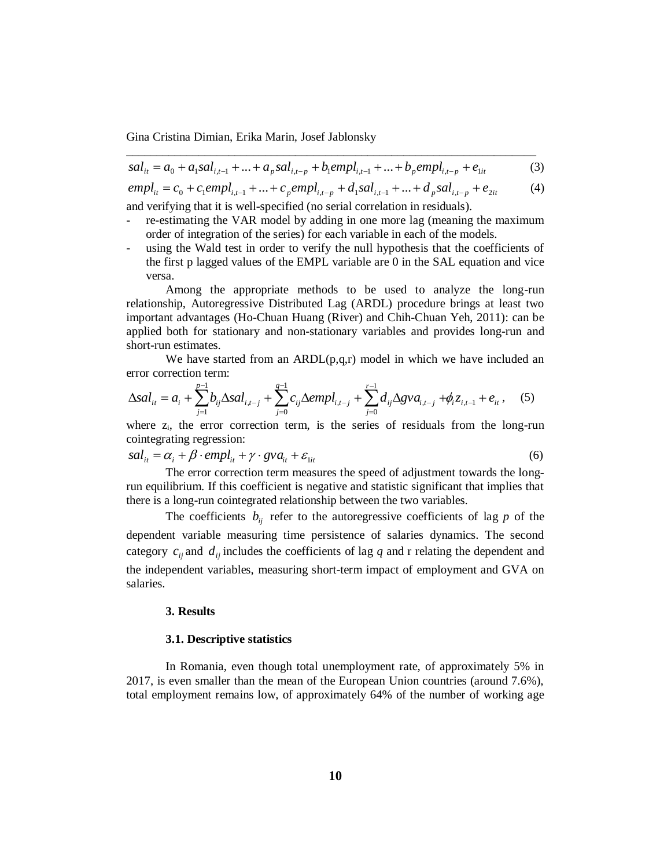$$
sal_{it} = a_0 + a_1 sal_{i,t-1} + ... + a_p sal_{i,t-p} + b_1 empl_{i,t-1} + ... + b_p empl_{i,t-p} + e_{1it}
$$
(3)  

$$
empl_{it} = c_0 + c_1 empl_{i,t-1} + ... + c_p empl_{i,t-p} + d_1 sal_{i,t-1} + ... + d_p sal_{i,t-p} + e_{2it}
$$
(4)

$$
empl_{it} = c_0 + c_1empl_{i,t-1} + ... + c_pempl_{i,t-p} + d_1sal_{i,t-1} + ... + d_psal_{i,t-p} + e_{2it}
$$
 (4)

and verifying that it is well-specified (no serial correlation in residuals).

- re-estimating the VAR model by adding in one more lag (meaning the maximum order of integration of the series) for each variable in each of the models.
- using the Wald test in order to verify the null hypothesis that the coefficients of the first p lagged values of the EMPL variable are 0 in the SAL equation and vice versa.

Among the appropriate methods to be used to analyze the long-run relationship, Autoregressive Distributed Lag (ARDL) procedure brings at least two important advantages (Ho-Chuan Huang (River) and Chih-Chuan Yeh, 2011): can be applied both for stationary and non-stationary variables and provides long-run and short-run estimates.

We have started from an  $ARDL(p,q,r)$  model in which we have included an error correction term:

$$
\Delta sal_{it} = a_i + \sum_{j=1}^{p-1} b_{ij} \Delta sal_{i,t-j} + \sum_{j=0}^{q-1} c_{ij} \Delta empl_{i,t-j} + \sum_{j=0}^{r-1} d_{ij} \Delta gva_{i,t-j} + \phi_i z_{i,t-1} + e_{it}, \quad (5)
$$

where  $z_i$ , the error correction term, is the series of residuals from the long-run cointegrating regression:

$$
sal_{it} = \alpha_i + \beta \cdot empl_{it} + \gamma \cdot gva_{it} + \varepsilon_{1it}
$$
\n<sup>(6)</sup>

The error correction term measures the speed of adjustment towards the longrun equilibrium. If this coefficient is negative and statistic significant that implies that there is a long-run cointegrated relationship between the two variables.

The coefficients  $b_{ij}$  refer to the autoregressive coefficients of lag  $p$  of the dependent variable measuring time persistence of salaries dynamics. The second category  $c_{ij}$  and  $d_{ij}$  includes the coefficients of lag  $q$  and r relating the dependent and the independent variables, measuring short-term impact of employment and GVA on salaries.

### **3. Results**

### **3.1. Descriptive statistics**

In Romania, even though total unemployment rate, of approximately 5% in 2017, is even smaller than the mean of the European Union countries (around 7.6%), total employment remains low, of approximately 64% of the number of working age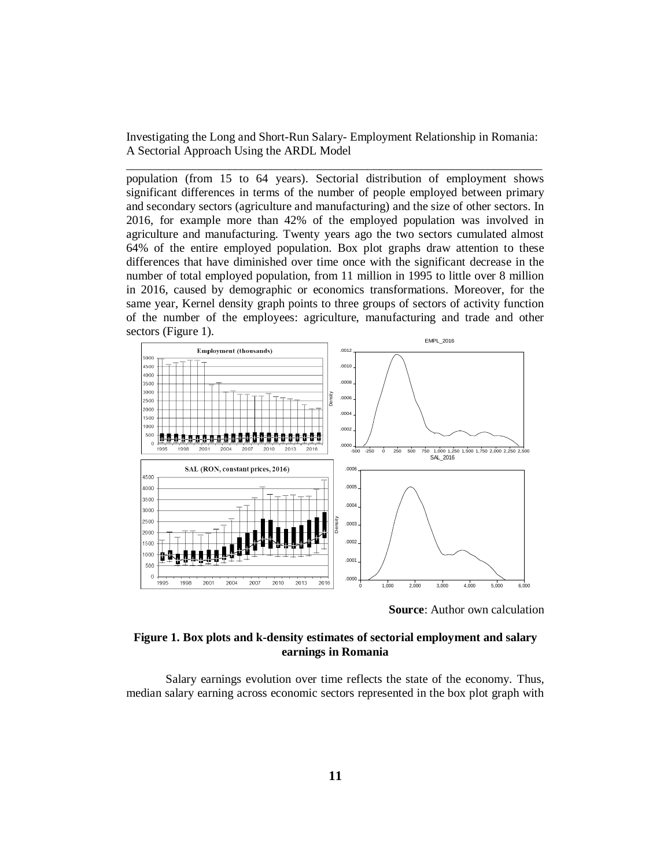population (from 15 to 64 years). Sectorial distribution of employment shows significant differences in terms of the number of people employed between primary and secondary sectors (agriculture and manufacturing) and the size of other sectors. In 2016, for example more than 42% of the employed population was involved in agriculture and manufacturing. Twenty years ago the two sectors cumulated almost 64% of the entire employed population. Box plot graphs draw attention to these differences that have diminished over time once with the significant decrease in the number of total employed population, from 11 million in 1995 to little over 8 million in 2016, caused by demographic or economics transformations. Moreover, for the same year, Kernel density graph points to three groups of sectors of activity function of the number of the employees: agriculture, manufacturing and trade and other sectors (Figure 1).



**Source**: Author own calculation

### **Figure 1. Box plots and k-density estimates of sectorial employment and salary earnings in Romania**

Salary earnings evolution over time reflects the state of the economy. Thus, median salary earning across economic sectors represented in the box plot graph with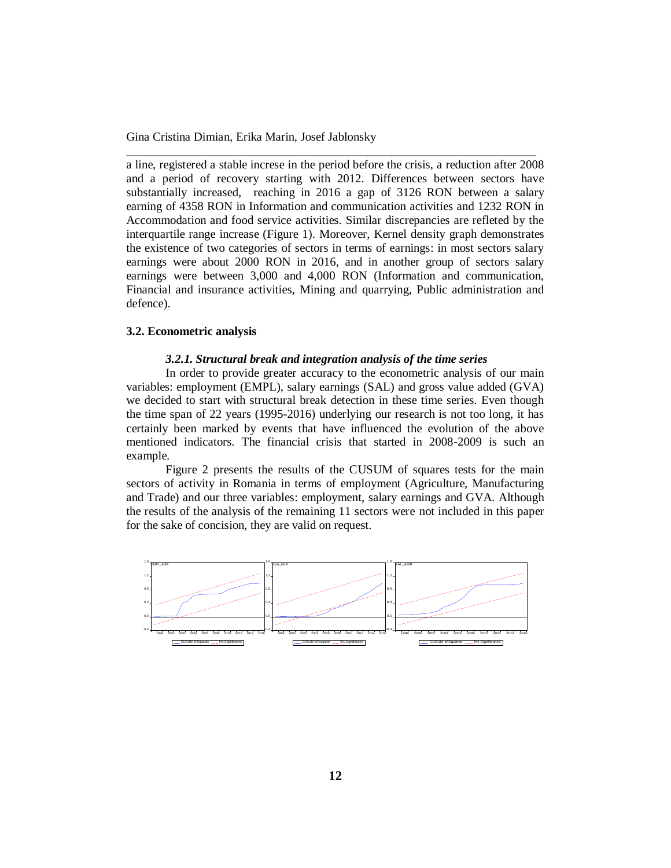a line, registered a stable increse in the period before the crisis, a reduction after 2008 and a period of recovery starting with 2012. Differences between sectors have substantially increased, reaching in 2016 a gap of 3126 RON between a salary earning of 4358 RON in Information and communication activities and 1232 RON in Accommodation and food service activities. Similar discrepancies are refleted by the interquartile range increase (Figure 1). Moreover, Kernel density graph demonstrates the existence of two categories of sectors in terms of earnings: in most sectors salary earnings were about 2000 RON in 2016, and in another group of sectors salary earnings were between 3,000 and 4,000 RON (Information and communication, Financial and insurance activities, Mining and quarrying, Public administration and defence).

\_\_\_\_\_\_\_\_\_\_\_\_\_\_\_\_\_\_\_\_\_\_\_\_\_\_\_\_\_\_\_\_\_\_\_\_\_\_\_\_\_\_\_\_\_\_\_\_\_\_\_\_\_\_\_\_\_\_\_\_\_\_\_\_\_\_\_\_

# **3.2. Econometric analysis**

#### *3.2.1. Structural break and integration analysis of the time series*

In order to provide greater accuracy to the econometric analysis of our main variables: employment (EMPL), salary earnings (SAL) and gross value added (GVA) we decided to start with structural break detection in these time series. Even though the time span of 22 years (1995-2016) underlying our research is not too long, it has certainly been marked by events that have influenced the evolution of the above mentioned indicators. The financial crisis that started in 2008-2009 is such an example.

Figure 2 presents the results of the CUSUM of squares tests for the main sectors of activity in Romania in terms of employment (Agriculture, Manufacturing and Trade) and our three variables: employment, salary earnings and GVA. Although the results of the analysis of the remaining 11 sectors were not included in this paper for the sake of concision, they are valid on request.

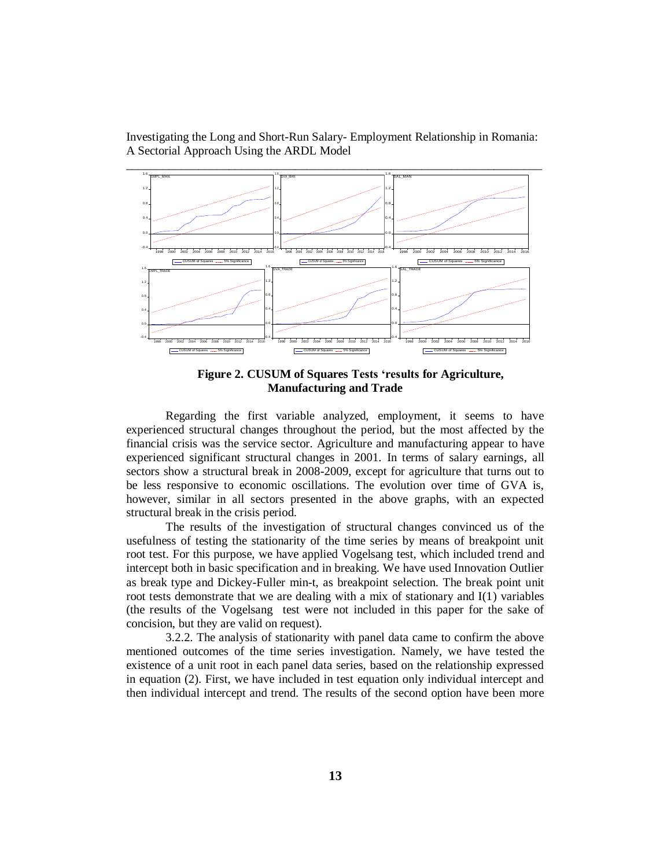Investigating the Long and Short-Run Salary- Employment Relationship in Romania: A Sectorial Approach Using the ARDL Model



**Figure 2. CUSUM of Squares Tests 'results for Agriculture, Manufacturing and Trade**

Regarding the first variable analyzed, employment, it seems to have experienced structural changes throughout the period, but the most affected by the financial crisis was the service sector. Agriculture and manufacturing appear to have experienced significant structural changes in 2001. In terms of salary earnings, all sectors show a structural break in 2008-2009, except for agriculture that turns out to be less responsive to economic oscillations. The evolution over time of GVA is, however, similar in all sectors presented in the above graphs, with an expected structural break in the crisis period.

The results of the investigation of structural changes convinced us of the usefulness of testing the stationarity of the time series by means of breakpoint unit root test. For this purpose, we have applied Vogelsang test, which included trend and intercept both in basic specification and in breaking. We have used Innovation Outlier as break type and Dickey-Fuller min-t, as breakpoint selection. The break point unit root tests demonstrate that we are dealing with a mix of stationary and I(1) variables (the results of the Vogelsang test were not included in this paper for the sake of concision, but they are valid on request).

3.2.2. The analysis of stationarity with panel data came to confirm the above mentioned outcomes of the time series investigation. Namely, we have tested the existence of a unit root in each panel data series, based on the relationship expressed in equation (2). First, we have included in test equation only individual intercept and then individual intercept and trend. The results of the second option have been more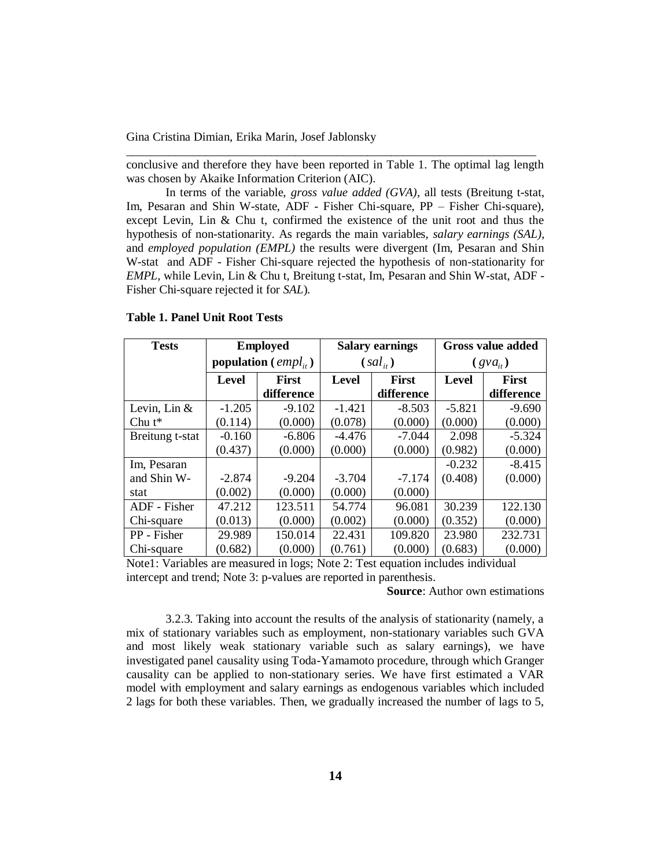conclusive and therefore they have been reported in Table 1. The optimal lag length was chosen by Akaike Information Criterion (AIC).

\_\_\_\_\_\_\_\_\_\_\_\_\_\_\_\_\_\_\_\_\_\_\_\_\_\_\_\_\_\_\_\_\_\_\_\_\_\_\_\_\_\_\_\_\_\_\_\_\_\_\_\_\_\_\_\_\_\_\_\_\_\_\_\_\_\_\_\_

In terms of the variable, *gross value added (GVA)*, all tests (Breitung t-stat, Im, Pesaran and Shin W-state, ADF - Fisher Chi-square, PP – Fisher Chi-square), except Levin, Lin & Chu t, confirmed the existence of the unit root and thus the hypothesis of non-stationarity. As regards the main variables, *salary earnings (SAL)*, and *employed population (EMPL)* the results were divergent (Im, Pesaran and Shin W-stat and ADF - Fisher Chi-square rejected the hypothesis of non-stationarity for *EMPL*, while Levin, Lin & Chu t, Breitung t-stat, Im, Pesaran and Shin W-stat, ADF - Fisher Chi-square rejected it for *SAL*)*.*

| <b>Tests</b>    |                           | <b>Employed</b> |                              | <b>Salary earnings</b> | <b>Gross value added</b> |            |
|-----------------|---------------------------|-----------------|------------------------------|------------------------|--------------------------|------------|
|                 | population ( $empl_{i}$ ) |                 |                              | $(sal_{ii})$           | $(gva_{ii})$             |            |
|                 | First<br><b>Level</b>     |                 | <b>First</b><br><b>Level</b> |                        | <b>Level</b>             | First      |
|                 |                           | difference      |                              | difference             |                          | difference |
| Levin, Lin &    | $-1.205$                  | $-9.102$        | $-1.421$                     | $-8.503$               | $-5.821$                 | $-9.690$   |
| Chu $t^*$       | (0.114)                   | (0.000)         | (0.078)                      | (0.000)                | (0.000)                  | (0.000)    |
| Breitung t-stat | $-0.160$                  | $-6.806$        | $-4.476$                     | $-7.044$               | 2.098                    | $-5.324$   |
|                 | (0.437)                   | (0.000)         | (0.000)                      | (0.000)                | (0.982)                  | (0.000)    |
| Im, Pesaran     |                           |                 |                              |                        | $-0.232$                 | $-8.415$   |
| and Shin W-     | $-2.874$                  | $-9.204$        | $-3.704$                     | $-7.174$               | (0.408)                  | (0.000)    |
| stat            | (0.002)                   | (0.000)         | (0.000)                      | (0.000)                |                          |            |
| ADF - Fisher    | 47.212                    | 123.511         | 54.774                       | 96.081                 | 30.239                   | 122.130    |
| Chi-square      | (0.013)                   | (0.000)         | (0.002)                      | (0.000)                | (0.352)                  | (0.000)    |
| PP - Fisher     | 29.989                    | 150.014         | 22.431                       | 109.820                | 23.980                   | 232.731    |
| Chi-square      | (0.682)                   | (0.000)         | (0.761)                      | (0.000)                | (0.683)                  | (0.000)    |

### **Table 1. Panel Unit Root Tests**

Note1: Variables are measured in logs; Note 2: Test equation includes individual intercept and trend; Note 3: p-values are reported in parenthesis.

**Source**: Author own estimations

3.2.3. Taking into account the results of the analysis of stationarity (namely, a mix of stationary variables such as employment, non-stationary variables such GVA and most likely weak stationary variable such as salary earnings), we have investigated panel causality using Toda-Yamamoto procedure, through which Granger causality can be applied to non-stationary series. We have first estimated a VAR model with employment and salary earnings as endogenous variables which included 2 lags for both these variables. Then, we gradually increased the number of lags to 5,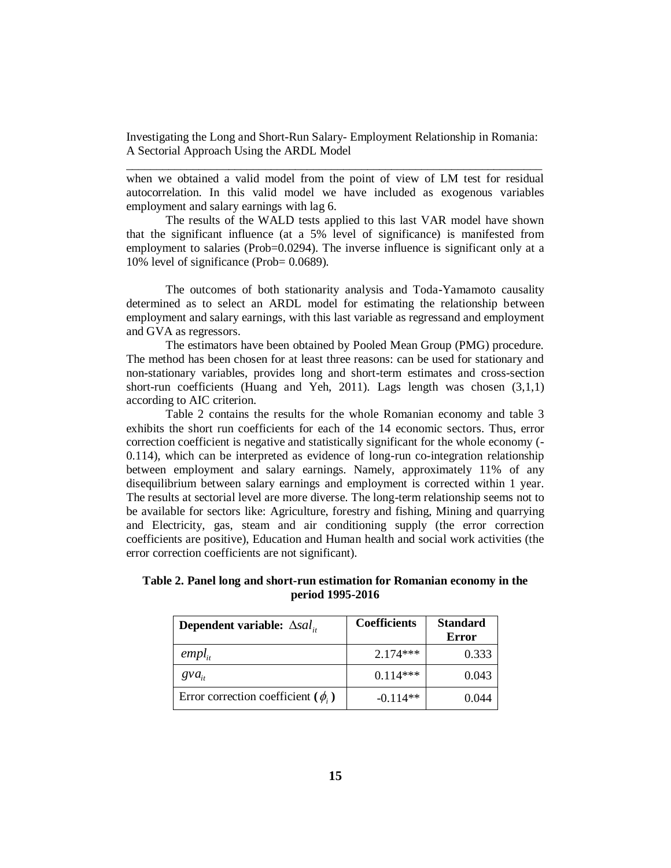when we obtained a valid model from the point of view of LM test for residual autocorrelation. In this valid model we have included as exogenous variables employment and salary earnings with lag 6.

The results of the WALD tests applied to this last VAR model have shown that the significant influence (at a 5% level of significance) is manifested from employment to salaries (Prob=0.0294). The inverse influence is significant only at a 10% level of significance (Prob= 0.0689).

The outcomes of both stationarity analysis and Toda-Yamamoto causality determined as to select an ARDL model for estimating the relationship between employment and salary earnings, with this last variable as regressand and employment and GVA as regressors.

The estimators have been obtained by Pooled Mean Group (PMG) procedure. The method has been chosen for at least three reasons: can be used for stationary and non-stationary variables, provides long and short-term estimates and cross-section short-run coefficients (Huang and Yeh, 2011). Lags length was chosen (3,1,1) according to AIC criterion.

Table 2 contains the results for the whole Romanian economy and table 3 exhibits the short run coefficients for each of the 14 economic sectors. Thus, error correction coefficient is negative and statistically significant for the whole economy (- 0.114), which can be interpreted as evidence of long-run co-integration relationship between employment and salary earnings. Namely, approximately 11% of any disequilibrium between salary earnings and employment is corrected within 1 year. The results at sectorial level are more diverse. The long-term relationship seems not to be available for sectors like: Agriculture, forestry and fishing, Mining and quarrying and Electricity, gas, steam and air conditioning supply (the error correction coefficients are positive), Education and Human health and social work activities (the error correction coefficients are not significant).

| <b>Dependent variable:</b> $\Delta s a l_{i}$ | <b>Coefficients</b> | <b>Standard</b><br><b>Error</b> |
|-----------------------------------------------|---------------------|---------------------------------|
| $empl_{ii}$                                   | $2.174***$          | 0.333                           |
| $gva_{ii}$                                    | $0.114***$          | 0.043                           |
| Error correction coefficient ( $\phi$ ,)      | $-0.114**$          | 0.044                           |

**Table 2. Panel long and short-run estimation for Romanian economy in the period 1995-2016**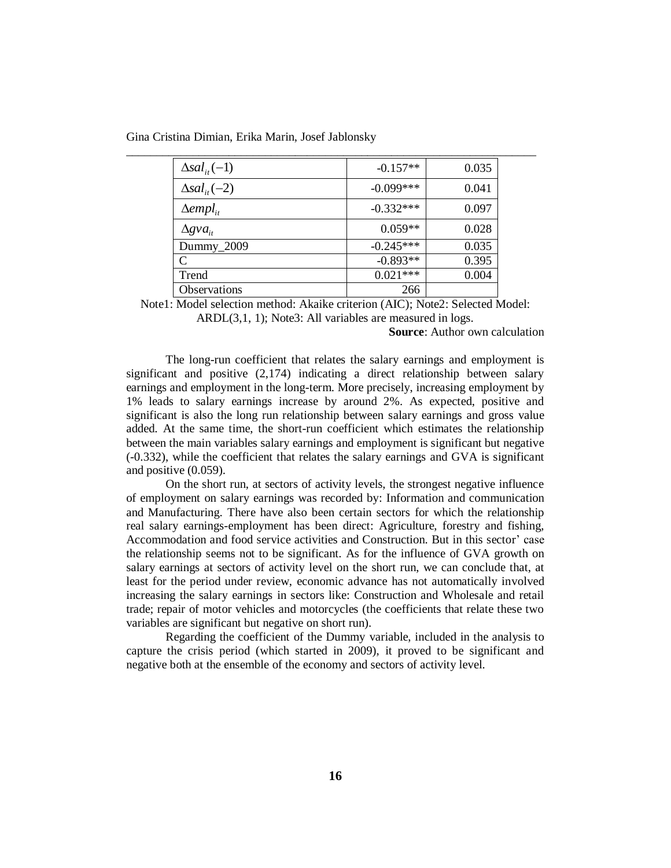| $\Delta$ sal <sub>it</sub> $(-1)$ | $-0.157**$  | 0.035 |
|-----------------------------------|-------------|-------|
| $\Delta$ sal <sub>it</sub> $(-2)$ | $-0.099***$ | 0.041 |
| $\Delta \text{empl}_{i}$          | $-0.332***$ | 0.097 |
| $\Delta g v a_{it}$               | $0.059**$   | 0.028 |
| Dummy_2009                        | $-0.245***$ | 0.035 |
| C                                 | $-0.893**$  | 0.395 |
| Trend                             | $0.021***$  | 0.004 |
| Observations                      | 266         |       |

Gina Cristina Dimian, Erika Marin, Josef Jablonsky

Note1: Model selection method: Akaike criterion (AIC); Note2: Selected Model:

ARDL(3,1, 1); Note3: All variables are measured in logs.

**Source**: Author own calculation

The long-run coefficient that relates the salary earnings and employment is significant and positive (2,174) indicating a direct relationship between salary earnings and employment in the long-term. More precisely, increasing employment by 1% leads to salary earnings increase by around 2%. As expected, positive and significant is also the long run relationship between salary earnings and gross value added. At the same time, the short-run coefficient which estimates the relationship between the main variables salary earnings and employment is significant but negative (-0.332), while the coefficient that relates the salary earnings and GVA is significant and positive (0.059).

On the short run, at sectors of activity levels, the strongest negative influence of employment on salary earnings was recorded by: Information and communication and Manufacturing. There have also been certain sectors for which the relationship real salary earnings-employment has been direct: Agriculture, forestry and fishing, Accommodation and food service activities and Construction. But in this sector' case the relationship seems not to be significant. As for the influence of GVA growth on salary earnings at sectors of activity level on the short run, we can conclude that, at least for the period under review, economic advance has not automatically involved increasing the salary earnings in sectors like: Construction and Wholesale and retail trade; repair of motor vehicles and motorcycles (the coefficients that relate these two variables are significant but negative on short run).

Regarding the coefficient of the Dummy variable, included in the analysis to capture the crisis period (which started in 2009), it proved to be significant and negative both at the ensemble of the economy and sectors of activity level.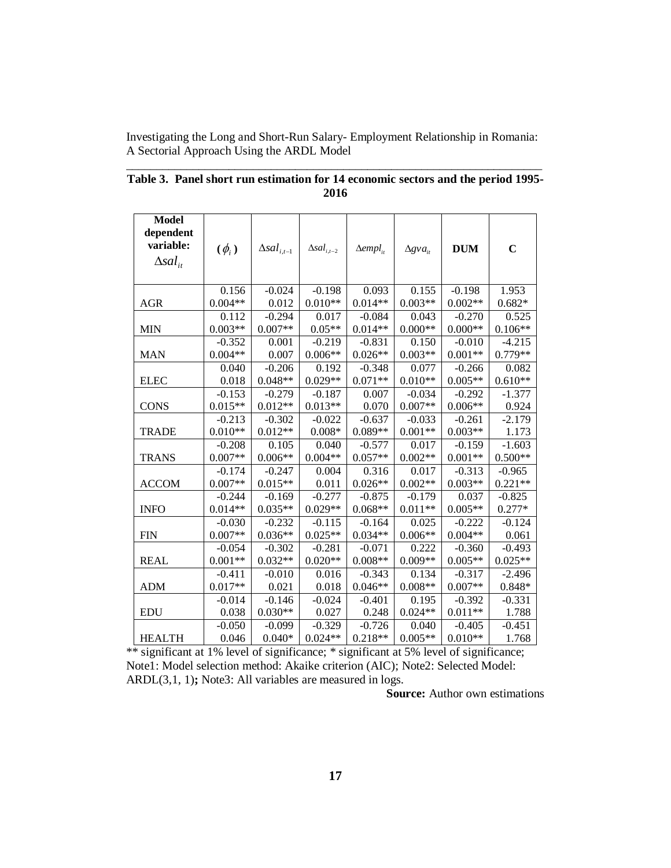| <b>Model</b>               |            |                               |                      |                           |                     |            |             |
|----------------------------|------------|-------------------------------|----------------------|---------------------------|---------------------|------------|-------------|
| dependent<br>variable:     |            |                               |                      |                           |                     |            |             |
|                            | $(\phi_i)$ | $\Delta$ sal <sub>i,t-1</sub> | $\Delta sal_{i,t-2}$ | $\Delta \text{empl}_{it}$ | $\Delta g v a_{it}$ | <b>DUM</b> | $\mathbf C$ |
| $\Delta$ sal <sub>it</sub> |            |                               |                      |                           |                     |            |             |
|                            | 0.156      | $-0.024$                      | $-0.198$             | 0.093                     | 0.155               | $-0.198$   | 1.953       |
| <b>AGR</b>                 | $0.004**$  | 0.012                         | $0.010**$            | $0.014**$                 | $0.003**$           | $0.002**$  | $0.682*$    |
|                            | 0.112      | $-0.294$                      | 0.017                | $-0.084$                  | 0.043               | $-0.270$   | 0.525       |
| <b>MIN</b>                 | $0.003**$  | $0.007**$                     | $0.05**$             | $0.014**$                 | $0.000**$           | $0.000**$  | $0.106**$   |
|                            | $-0.352$   | 0.001                         | $-0.219$             | $-0.831$                  | 0.150               | $-0.010$   | $-4.215$    |
| <b>MAN</b>                 | $0.004**$  | 0.007                         | $0.006**$            | $0.026**$                 | $0.003**$           | $0.001**$  | $0.779**$   |
|                            | 0.040      | $-0.206$                      | 0.192                | $-0.348$                  | 0.077               | $-0.266$   | 0.082       |
| <b>ELEC</b>                | 0.018      | $0.048**$                     | $0.029**$            | $0.071**$                 | $0.010**$           | $0.005**$  | $0.610**$   |
|                            | $-0.153$   | $-0.279$                      | $-0.187$             | 0.007                     | $-0.034$            | $-0.292$   | $-1.377$    |
| <b>CONS</b>                | $0.015**$  | $0.012**$                     | $0.013**$            | 0.070                     | $0.007**$           | $0.006**$  | 0.924       |
|                            | $-0.213$   | $-0.302$                      | $-0.022$             | $-0.637$                  | $-0.033$            | $-0.261$   | $-2.179$    |
| <b>TRADE</b>               | $0.010**$  | $0.012**$                     | $0.008*$             | $0.089**$                 | $0.001**$           | $0.003**$  | 1.173       |
|                            | $-0.208$   | 0.105                         | 0.040                | $-0.577$                  | 0.017               | $-0.159$   | $-1.603$    |
| <b>TRANS</b>               | $0.007**$  | $0.006**$                     | $0.004**$            | $0.057**$                 | $0.002**$           | $0.001**$  | $0.500**$   |
|                            | $-0.174$   | $-0.247$                      | 0.004                | 0.316                     | 0.017               | $-0.313$   | $-0.965$    |
| <b>ACCOM</b>               | $0.007**$  | $0.015**$                     | 0.011                | $0.026**$                 | $0.002**$           | $0.003**$  | $0.221**$   |
|                            | $-0.244$   | $-0.169$                      | $-0.277$             | $-0.875$                  | $-0.179$            | 0.037      | $-0.825$    |
| <b>INFO</b>                | $0.014**$  | $0.035**$                     | $0.029**$            | $0.068**$                 | $0.011**$           | $0.005**$  | $0.277*$    |
|                            | $-0.030$   | $-0.232$                      | $-0.115$             | $-0.164$                  | 0.025               | $-0.222$   | $-0.124$    |
| <b>FIN</b>                 | $0.007**$  | $0.036**$                     | $0.025**$            | $0.034**$                 | $0.006**$           | $0.004**$  | 0.061       |
|                            | $-0.054$   | $-0.302$                      | $-0.281$             | $-0.071$                  | 0.222               | $-0.360$   | $-0.493$    |
| <b>REAL</b>                | $0.001**$  | $0.032**$                     | $0.020**$            | $0.008**$                 | $0.009**$           | $0.005**$  | $0.025**$   |
|                            | $-0.411$   | $-0.010$                      | 0.016                | $-0.343$                  | 0.134               | $-0.317$   | $-2.496$    |
| <b>ADM</b>                 | $0.017**$  | 0.021                         | 0.018                | $0.046**$                 | $0.008**$           | $0.007**$  | $0.848*$    |
|                            | $-0.014$   | $-0.146$                      | $-0.024$             | $-0.401$                  | 0.195               | $-0.392$   | $-0.331$    |
| <b>EDU</b>                 | 0.038      | $0.030**$                     | 0.027                | 0.248                     | $0.024**$           | $0.011**$  | 1.788       |
|                            | $-0.050$   | $-0.099$                      | $-0.329$             | $-0.726$                  | 0.040               | $-0.405$   | $-0.451$    |
| <b>HEALTH</b>              | 0.046      | $0.040*$                      | $0.024**$            | $0.218**$                 | $0.005**$           | $0.010**$  | 1.768       |

| Table 3. Panel short run estimation for 14 economic sectors and the period 1995- |
|----------------------------------------------------------------------------------|
| 2016                                                                             |

\*\* significant at 1% level of significance; \* significant at 5% level of significance; Note1: Model selection method: Akaike criterion (AIC); Note2: Selected Model: ARDL(3,1, 1)**;** Note3: All variables are measured in logs.

**Source:** Author own estimations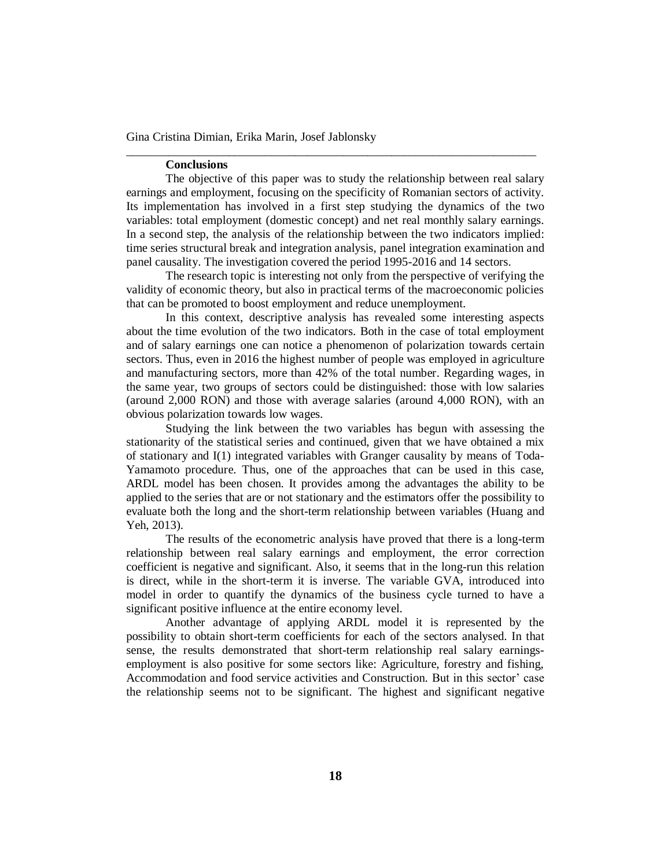### **Conclusions**

The objective of this paper was to study the relationship between real salary earnings and employment, focusing on the specificity of Romanian sectors of activity. Its implementation has involved in a first step studying the dynamics of the two variables: total employment (domestic concept) and net real monthly salary earnings. In a second step, the analysis of the relationship between the two indicators implied: time series structural break and integration analysis, panel integration examination and panel causality. The investigation covered the period 1995-2016 and 14 sectors.

\_\_\_\_\_\_\_\_\_\_\_\_\_\_\_\_\_\_\_\_\_\_\_\_\_\_\_\_\_\_\_\_\_\_\_\_\_\_\_\_\_\_\_\_\_\_\_\_\_\_\_\_\_\_\_\_\_\_\_\_\_\_\_\_\_\_\_\_

The research topic is interesting not only from the perspective of verifying the validity of economic theory, but also in practical terms of the macroeconomic policies that can be promoted to boost employment and reduce unemployment.

In this context, descriptive analysis has revealed some interesting aspects about the time evolution of the two indicators. Both in the case of total employment and of salary earnings one can notice a phenomenon of polarization towards certain sectors. Thus, even in 2016 the highest number of people was employed in agriculture and manufacturing sectors, more than 42% of the total number. Regarding wages, in the same year, two groups of sectors could be distinguished: those with low salaries (around 2,000 RON) and those with average salaries (around 4,000 RON), with an obvious polarization towards low wages.

Studying the link between the two variables has begun with assessing the stationarity of the statistical series and continued, given that we have obtained a mix of stationary and I(1) integrated variables with Granger causality by means of Toda-Yamamoto procedure. Thus, one of the approaches that can be used in this case, ARDL model has been chosen. It provides among the advantages the ability to be applied to the series that are or not stationary and the estimators offer the possibility to evaluate both the long and the short-term relationship between variables (Huang and Yeh, 2013).

The results of the econometric analysis have proved that there is a long-term relationship between real salary earnings and employment, the error correction coefficient is negative and significant. Also, it seems that in the long-run this relation is direct, while in the short-term it is inverse. The variable GVA, introduced into model in order to quantify the dynamics of the business cycle turned to have a significant positive influence at the entire economy level.

Another advantage of applying ARDL model it is represented by the possibility to obtain short-term coefficients for each of the sectors analysed. In that sense, the results demonstrated that short-term relationship real salary earningsemployment is also positive for some sectors like: Agriculture, forestry and fishing, Accommodation and food service activities and Construction. But in this sector' case the relationship seems not to be significant. The highest and significant negative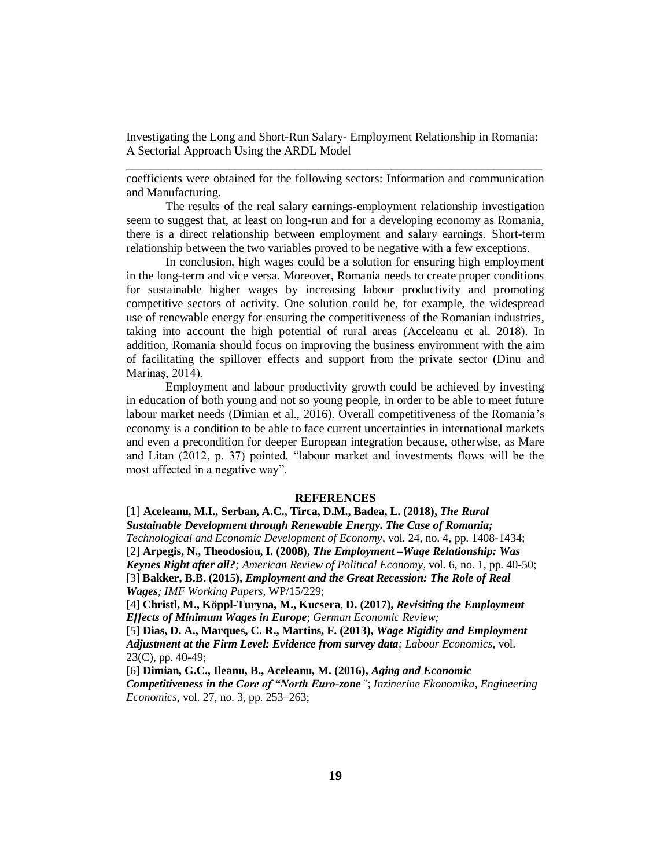coefficients were obtained for the following sectors: Information and communication and Manufacturing.

The results of the real salary earnings-employment relationship investigation seem to suggest that, at least on long-run and for a developing economy as Romania, there is a direct relationship between employment and salary earnings. Short-term relationship between the two variables proved to be negative with a few exceptions.

In conclusion, high wages could be a solution for ensuring high employment in the long-term and vice versa. Moreover, Romania needs to create proper conditions for sustainable higher wages by increasing labour productivity and promoting competitive sectors of activity. One solution could be, for example, the widespread use of renewable energy for ensuring the competitiveness of the Romanian industries, taking into account the high potential of rural areas (Acceleanu et al. 2018). In addition, Romania should focus on improving the business environment with the aim of facilitating the spillover effects and support from the private sector (Dinu and Marinaş, 2014).

Employment and labour productivity growth could be achieved by investing in education of both young and not so young people, in order to be able to meet future labour market needs (Dimian et al., 2016). Overall competitiveness of the Romania's economy is a condition to be able to face current uncertainties in international markets and even a precondition for deeper European integration because, otherwise, as Mare and Litan (2012, p. 37) pointed, "labour market and investments flows will be the most affected in a negative way".

#### **REFERENCES**

[1] **Aceleanu, M.I., Serban, A.C., Tirca, D.M., Badea, L. (2018),** *The Rural Sustainable Development through Renewable Energy. The Case of Romania; Technological and Economic Development of Economy*, vol. 24, no. 4, pp. 1408-1434; [2] **Arpegis, N., Theodosiou, I. (2008),** *The Employment –Wage Relationship: Was Keynes Right after all?; American Review of Political Economy*, vol. 6, no. 1, pp. 40-50; [3] **Bakker, B.B. (2015),** *Employment and the Great Recession: The Role of Real Wages; IMF Working Papers*, WP/15/229;

[4] **Christl, M., Köppl-Turyna, M., Kucsera**, **D. (2017),** *Revisiting the Employment Effects of Minimum Wages in Europe*; *German Economic Review;*

[5] **Dias, D. A., Marques, C. R., Martins, F. (2013),** *Wage Rigidity and Employment Adjustment at the Firm Level: Evidence from survey data; Labour Economics,* vol. 23(C), pp. 40-49;

[6] **Dimian, G.C., Ileanu, B., Aceleanu, M. (2016),** *Aging and Economic Competitiveness in the Core of "North Euro-zone"*; *Inzinerine Ekonomika, Engineering Economics*, vol. 27, no. 3, pp. 253–263;